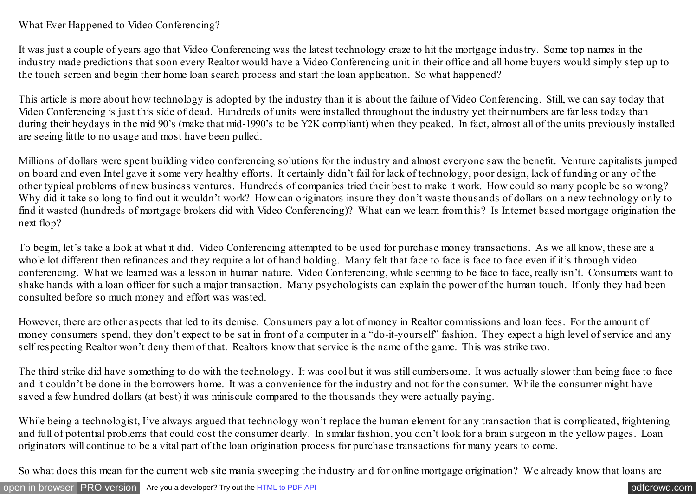What Ever Happened to Video Conferencing?

It was just a couple of years ago that Video Conferencing was the latest technology craze to hit the mortgage industry. Some top names in the industry made predictions that soon every Realtor would have a Video Conferencing unit in their office and all home buyers would simply step up to the touch screen and begin their home loan search process and start the loan application. So what happened?

This article is more about how technology is adopted by the industry than it is about the failure of Video Conferencing. Still, we can say today that Video Conferencing is just this side of dead. Hundreds of units were installed throughout the industry yet their numbers are far less today than during their heydays in the mid 90's (make that mid-1990's to be Y2K compliant) when they peaked. In fact, almost all of the units previously installed are seeing little to no usage and most have been pulled.

Millions of dollars were spent building video conferencing solutions for the industry and almost everyone saw the benefit. Venture capitalists jumped on board and even Intel gave it some very healthy efforts. It certainly didn't fail for lack of technology, poor design, lack of funding or any of the other typical problems of new business ventures. Hundreds of companies tried their best to make it work. How could so many people be so wrong? Why did it take so long to find out it wouldn't work? How can originators insure they don't waste thousands of dollars on a new technology only to find it wasted (hundreds of mortgage brokers did with Video Conferencing)? What can we learn from this? Is Internet based mortgage origination the next flop?

To begin, let's take a look at what it did. Video Conferencing attempted to be used for purchase money transactions. As we all know, these are a whole lot different then refinances and they require a lot of hand holding. Many felt that face to face is face to face even if it's through video conferencing. What we learned was a lesson in human nature. Video Conferencing, while seeming to be face to face, really isn't. Consumers want to shake hands with a loan officer for such a major transaction. Many psychologists can explain the power of the human touch. If only they had been consulted before so much money and effort was wasted.

However, there are other aspects that led to its demise. Consumers pay a lot of money in Realtor commissions and loan fees. For the amount of money consumers spend, they don't expect to be sat in front of a computer in a "do-it-yourself" fashion. They expect a high level of service and any self respecting Realtor won't deny them of that. Realtors know that service is the name of the game. This was strike two.

The third strike did have something to do with the technology. It was cool but it was still cumbersome. It was actually slower than being face to face and it couldn't be done in the borrowers home. It was a convenience for the industry and not for the consumer. While the consumer might have saved a few hundred dollars (at best) it was miniscule compared to the thousands they were actually paying.

While being a technologist, I've always argued that technology won't replace the human element for any transaction that is complicated, frightening and full of potential problems that could cost the consumer dearly. In similar fashion, you don't look for a brain surgeon in the yellow pages. Loan originators will continue to be a vital part of the loan origination process for purchase transactions for many years to come.

So what does this mean for the current web site mania sweeping the industry and for online mortgage origination? We already know that loans are